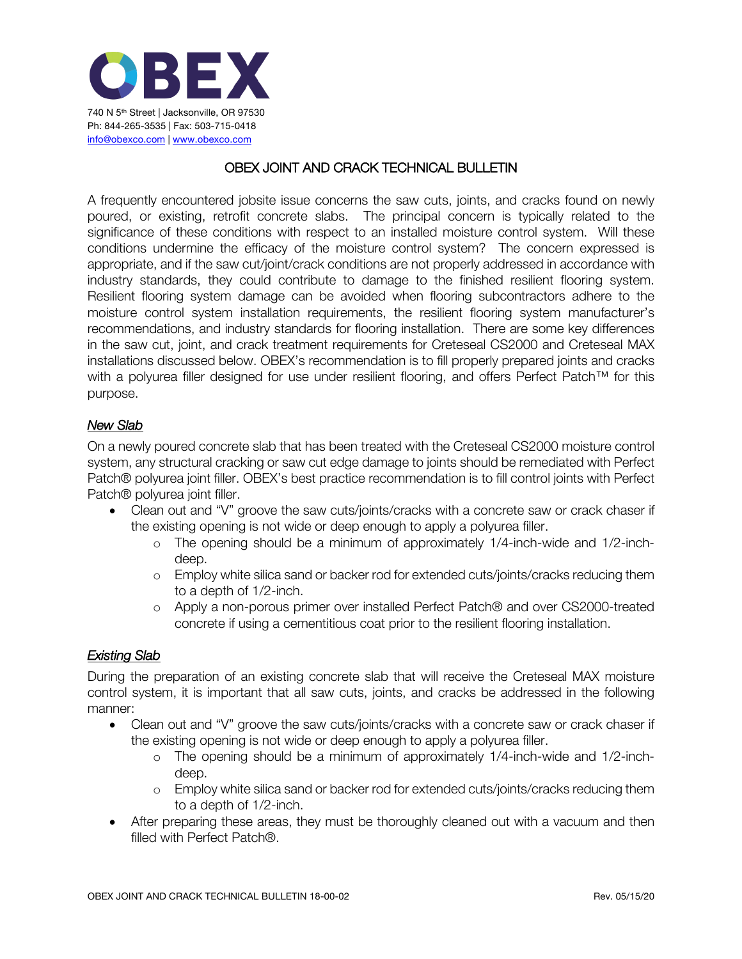

## OBEX JOINT AND CRACK TECHNICAL BULLETIN

A frequently encountered jobsite issue concerns the saw cuts, joints, and cracks found on newly poured, or existing, retrofit concrete slabs. The principal concern is typically related to the significance of these conditions with respect to an installed moisture control system. Will these conditions undermine the efficacy of the moisture control system? The concern expressed is appropriate, and if the saw cut/joint/crack conditions are not properly addressed in accordance with industry standards, they could contribute to damage to the finished resilient flooring system. Resilient flooring system damage can be avoided when flooring subcontractors adhere to the moisture control system installation requirements, the resilient flooring system manufacturer's recommendations, and industry standards for flooring installation. There are some key differences in the saw cut, joint, and crack treatment requirements for Creteseal CS2000 and Creteseal MAX installations discussed below. OBEX's recommendation is to fill properly prepared joints and cracks with a polyurea filler designed for use under resilient flooring, and offers Perfect Patch™ for this purpose.

## *New Slab*

On a newly poured concrete slab that has been treated with the Creteseal CS2000 moisture control system, any structural cracking or saw cut edge damage to joints should be remediated with Perfect Patch® polyurea joint filler. OBEX's best practice recommendation is to fill control joints with Perfect Patch® polyurea joint filler.

- Clean out and "V" groove the saw cuts/joints/cracks with a concrete saw or crack chaser if the existing opening is not wide or deep enough to apply a polyurea filler.
	- o The opening should be a minimum of approximately 1/4-inch-wide and 1/2-inchdeep.
	- o Employ white silica sand or backer rod for extended cuts/joints/cracks reducing them to a depth of 1/2-inch.
	- o Apply a non-porous primer over installed Perfect Patch® and over CS2000-treated concrete if using a cementitious coat prior to the resilient flooring installation.

## *Existing Slab*

During the preparation of an existing concrete slab that will receive the Creteseal MAX moisture control system, it is important that all saw cuts, joints, and cracks be addressed in the following manner:

- Clean out and "V" groove the saw cuts/joints/cracks with a concrete saw or crack chaser if the existing opening is not wide or deep enough to apply a polyurea filler.
	- o The opening should be a minimum of approximately 1/4-inch-wide and 1/2-inchdeep.
	- o Employ white silica sand or backer rod for extended cuts/joints/cracks reducing them to a depth of 1/2-inch.
- After preparing these areas, they must be thoroughly cleaned out with a vacuum and then filled with Perfect Patch®.